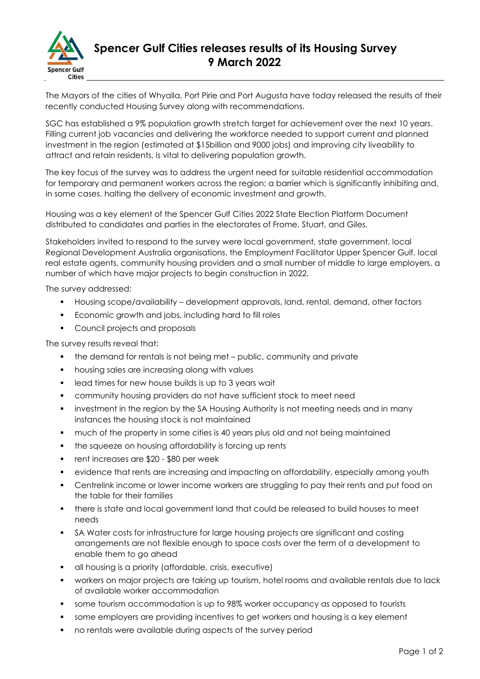

## **Spencer Gulf Cities releases results of its Housing Survey 9 March 2022**

The Mayors of the cities of Whyalla, Port Pirie and Port Augusta have today released the results of their recently conducted Housing Survey along with recommendations.

SGC has established a 9% population growth stretch target for achievement over the next 10 years. Filling current job vacancies and delivering the workforce needed to support current and planned investment in the region (estimated at \$15billion and 9000 jobs) and improving city liveability to attract and retain residents, is vital to delivering population growth.

The key focus of the survey was to address the urgent need for suitable residential accommodation for temporary and permanent workers across the region; a barrier which is significantly inhibiting and, in some cases, halting the delivery of economic investment and growth.

Housing was a key element of the Spencer Gulf Cities 2022 State Election Platform Document distributed to candidates and parties in the electorates of Frome, Stuart, and Giles.

Stakeholders invited to respond to the survey were local government, state government, local Regional Development Australia organisations, the Employment Facilitator Upper Spencer Gulf, local real estate agents, community housing providers and a small number of middle to large employers, a number of which have major projects to begin construction in 2022.

The survey addressed:

- Housing scope/availability development approvals, land, rental, demand, other factors
- Economic growth and jobs, including hard to fill roles
- Council projects and proposals

The survey results reveal that:

- the demand for rentals is not being met public, community and private
- **•** housing sales are increasing along with values
- lead times for new house builds is up to 3 years wait
- community housing providers do not have sufficient stock to meet need
- **•** investment in the region by the SA Housing Authority is not meeting needs and in many instances the housing stock is not maintained
- much of the property in some cities is 40 years plus old and not being maintained
- the squeeze on housing affordability is forcing up rents
- rent increases are \$20 \$80 per week
- evidence that rents are increasing and impacting on affordability, especially among youth
- **•** Centrelink income or lower income workers are struggling to pay their rents and put food on the table for their families
- there is state and local government land that could be released to build houses to meet needs
- SA Water costs for infrastructure for large housing projects are significant and costing arrangements are not flexible enough to space costs over the term of a development to enable them to go ahead
- all housing is a priority (affordable, crisis, executive)
- workers on major projects are taking up tourism, hotel rooms and available rentals due to lack of available worker accommodation
- **•** some tourism accommodation is up to 98% worker occupancy as opposed to tourists
- some employers are providing incentives to get workers and housing is a key element
- no rentals were available during aspects of the survey period